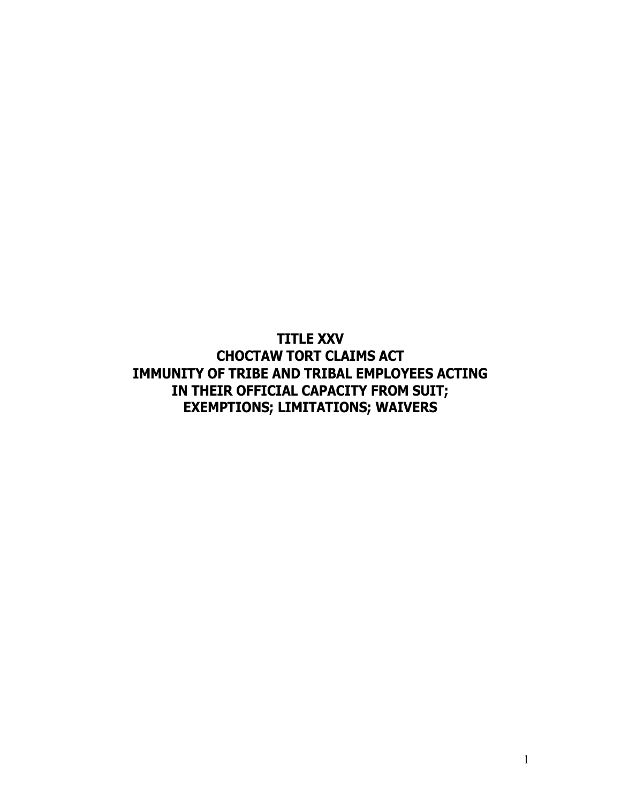**TITLE XXV CHOCTAW TORT CLAIMS ACT IMMUNITY OF TRIBE AND TRIBAL EMPLOYEES ACTING IN THEIR OFFICIAL CAPACITY FROM SUIT; EXEMPTIONS; LIMITATIONS; WAIVERS**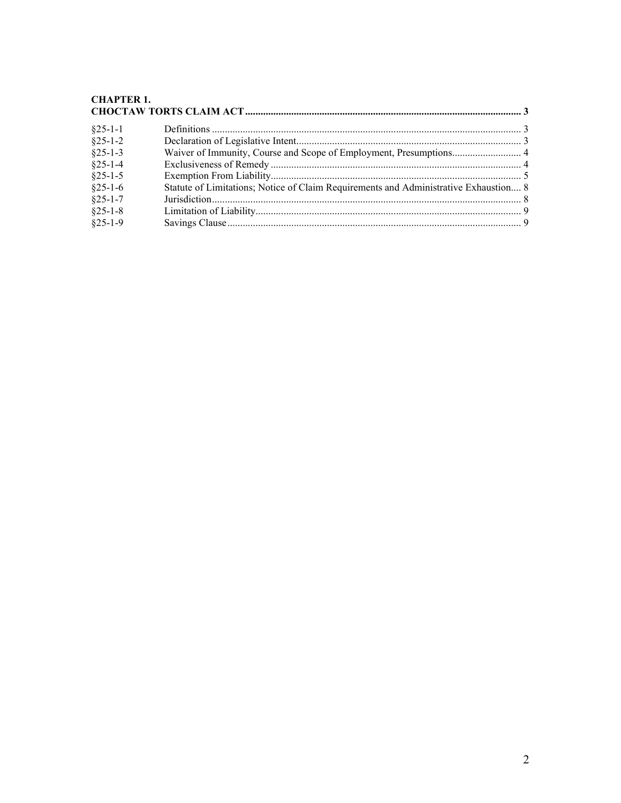# CHAPTER 1.<br>CHOCTAW TORTS CLAIM ACT.

| $§25-1-1$     |                                                                                      |  |
|---------------|--------------------------------------------------------------------------------------|--|
| $§25-1-2$     |                                                                                      |  |
| $§25-1-3$     |                                                                                      |  |
| $§25-1-4$     |                                                                                      |  |
| $§25-1-5$     |                                                                                      |  |
| $§25-1-6$     | Statute of Limitations; Notice of Claim Requirements and Administrative Exhaustion 8 |  |
| $§25 - 1 - 7$ |                                                                                      |  |
| $§25-1-8$     |                                                                                      |  |
| $§25-1-9$     |                                                                                      |  |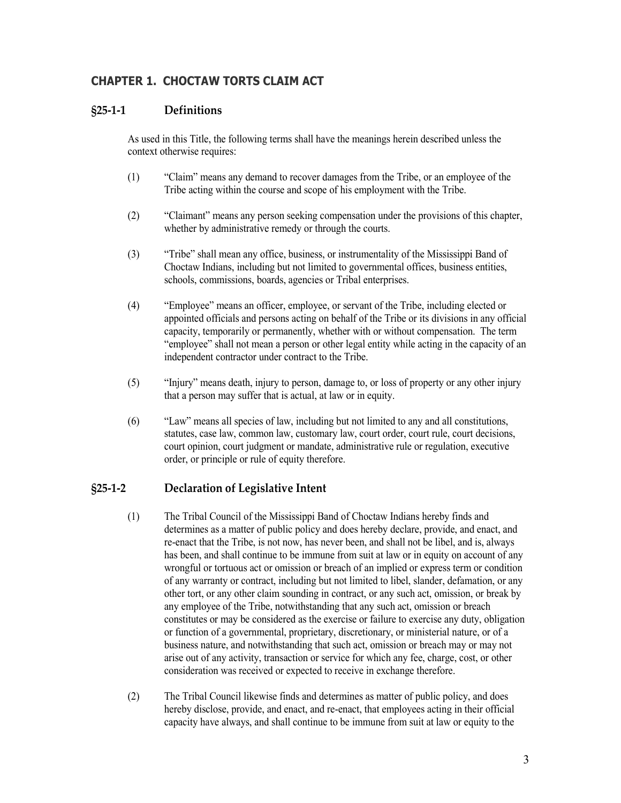## <span id="page-2-0"></span>**CHAPTER 1. CHOCTAW TORTS CLAIM ACT**

#### <span id="page-2-1"></span>**§25-1-1 Definitions**

As used in this Title, the following terms shall have the meanings herein described unless the context otherwise requires:

- (1) "Claim" means any demand to recover damages from the Tribe, or an employee of the Tribe acting within the course and scope of his employment with the Tribe.
- (2) "Claimant" means any person seeking compensation under the provisions of this chapter, whether by administrative remedy or through the courts.
- (3) "Tribe" shall mean any office, business, or instrumentality of the Mississippi Band of Choctaw Indians, including but not limited to governmental offices, business entities, schools, commissions, boards, agencies or Tribal enterprises.
- (4) "Employee" means an officer, employee, or servant of the Tribe, including elected or appointed officials and persons acting on behalf of the Tribe or its divisions in any official capacity, temporarily or permanently, whether with or without compensation. The term "employee" shall not mean a person or other legal entity while acting in the capacity of an independent contractor under contract to the Tribe.
- (5) "Injury" means death, injury to person, damage to, or loss of property or any other injury that a person may suffer that is actual, at law or in equity.
- (6) "Law" means all species of law, including but not limited to any and all constitutions, statutes, case law, common law, customary law, court order, court rule, court decisions, court opinion, court judgment or mandate, administrative rule or regulation, executive order, or principle or rule of equity therefore.

## <span id="page-2-2"></span>**§25-1-2 Declaration of Legislative Intent**

- (1) The Tribal Council of the Mississippi Band of Choctaw Indians hereby finds and determines as a matter of public policy and does hereby declare, provide, and enact, and re-enact that the Tribe, is not now, has never been, and shall not be libel, and is, always has been, and shall continue to be immune from suit at law or in equity on account of any wrongful or tortuous act or omission or breach of an implied or express term or condition of any warranty or contract, including but not limited to libel, slander, defamation, or any other tort, or any other claim sounding in contract, or any such act, omission, or break by any employee of the Tribe, notwithstanding that any such act, omission or breach constitutes or may be considered as the exercise or failure to exercise any duty, obligation or function of a governmental, proprietary, discretionary, or ministerial nature, or of a business nature, and notwithstanding that such act, omission or breach may or may not arise out of any activity, transaction or service for which any fee, charge, cost, or other consideration was received or expected to receive in exchange therefore.
- (2) The Tribal Council likewise finds and determines as matter of public policy, and does hereby disclose, provide, and enact, and re-enact, that employees acting in their official capacity have always, and shall continue to be immune from suit at law or equity to the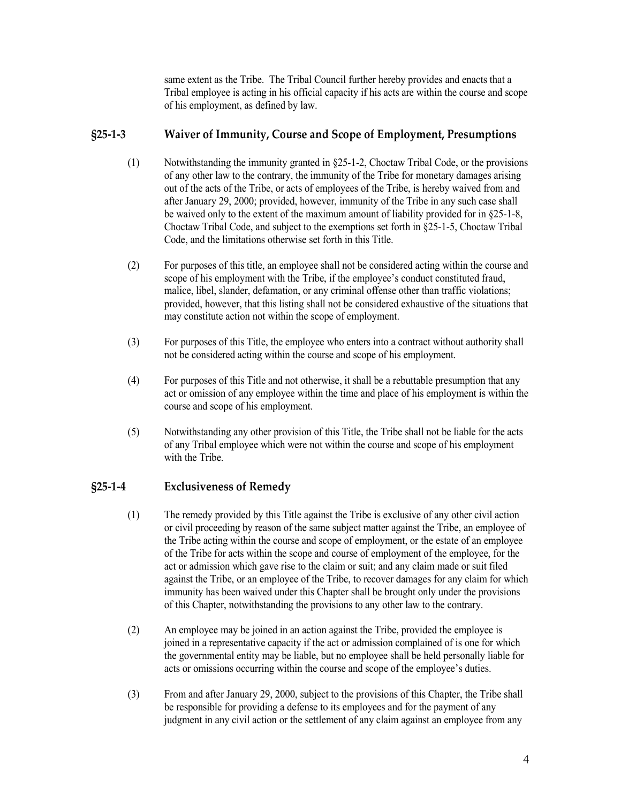same extent as the Tribe. The Tribal Council further hereby provides and enacts that a Tribal employee is acting in his official capacity if his acts are within the course and scope of his employment, as defined by law.

#### <span id="page-3-0"></span>**§25-1-3 Waiver of Immunity, Course and Scope of Employment, Presumptions**

- (1) Notwithstanding the immunity granted in §25-1-2, Choctaw Tribal Code, or the provisions of any other law to the contrary, the immunity of the Tribe for monetary damages arising out of the acts of the Tribe, or acts of employees of the Tribe, is hereby waived from and after January 29, 2000; provided, however, immunity of the Tribe in any such case shall be waived only to the extent of the maximum amount of liability provided for in §25-1-8, Choctaw Tribal Code, and subject to the exemptions set forth in §25-1-5, Choctaw Tribal Code, and the limitations otherwise set forth in this Title.
- (2) For purposes of this title, an employee shall not be considered acting within the course and scope of his employment with the Tribe, if the employee's conduct constituted fraud, malice, libel, slander, defamation, or any criminal offense other than traffic violations; provided, however, that this listing shall not be considered exhaustive of the situations that may constitute action not within the scope of employment.
- (3) For purposes of this Title, the employee who enters into a contract without authority shall not be considered acting within the course and scope of his employment.
- (4) For purposes of this Title and not otherwise, it shall be a rebuttable presumption that any act or omission of any employee within the time and place of his employment is within the course and scope of his employment.
- (5) Notwithstanding any other provision of this Title, the Tribe shall not be liable for the acts of any Tribal employee which were not within the course and scope of his employment with the Tribe.

#### <span id="page-3-1"></span>**§25-1-4 Exclusiveness of Remedy**

- (1) The remedy provided by this Title against the Tribe is exclusive of any other civil action or civil proceeding by reason of the same subject matter against the Tribe, an employee of the Tribe acting within the course and scope of employment, or the estate of an employee of the Tribe for acts within the scope and course of employment of the employee, for the act or admission which gave rise to the claim or suit; and any claim made or suit filed against the Tribe, or an employee of the Tribe, to recover damages for any claim for which immunity has been waived under this Chapter shall be brought only under the provisions of this Chapter, notwithstanding the provisions to any other law to the contrary.
- (2) An employee may be joined in an action against the Tribe, provided the employee is joined in a representative capacity if the act or admission complained of is one for which the governmental entity may be liable, but no employee shall be held personally liable for acts or omissions occurring within the course and scope of the employee's duties.
- (3) From and after January 29, 2000, subject to the provisions of this Chapter, the Tribe shall be responsible for providing a defense to its employees and for the payment of any judgment in any civil action or the settlement of any claim against an employee from any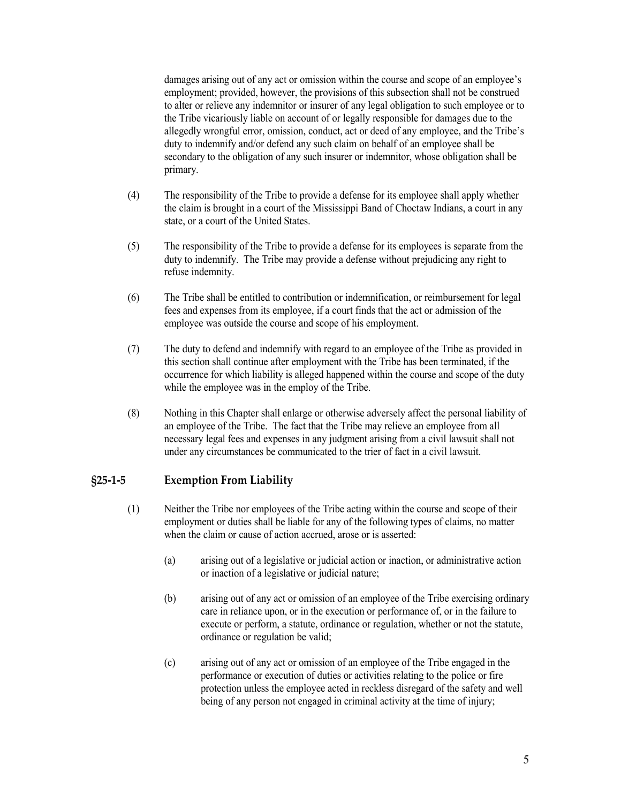damages arising out of any act or omission within the course and scope of an employee's employment; provided, however, the provisions of this subsection shall not be construed to alter or relieve any indemnitor or insurer of any legal obligation to such employee or to the Tribe vicariously liable on account of or legally responsible for damages due to the allegedly wrongful error, omission, conduct, act or deed of any employee, and the Tribe's duty to indemnify and/or defend any such claim on behalf of an employee shall be secondary to the obligation of any such insurer or indemnitor, whose obligation shall be primary.

- (4) The responsibility of the Tribe to provide a defense for its employee shall apply whether the claim is brought in a court of the Mississippi Band of Choctaw Indians, a court in any state, or a court of the United States.
- (5) The responsibility of the Tribe to provide a defense for its employees is separate from the duty to indemnify. The Tribe may provide a defense without prejudicing any right to refuse indemnity.
- (6) The Tribe shall be entitled to contribution or indemnification, or reimbursement for legal fees and expenses from its employee, if a court finds that the act or admission of the employee was outside the course and scope of his employment.
- (7) The duty to defend and indemnify with regard to an employee of the Tribe as provided in this section shall continue after employment with the Tribe has been terminated, if the occurrence for which liability is alleged happened within the course and scope of the duty while the employee was in the employ of the Tribe.
- (8) Nothing in this Chapter shall enlarge or otherwise adversely affect the personal liability of an employee of the Tribe. The fact that the Tribe may relieve an employee from all necessary legal fees and expenses in any judgment arising from a civil lawsuit shall not under any circumstances be communicated to the trier of fact in a civil lawsuit.

#### <span id="page-4-0"></span>**§25-1-5 Exemption From Liability**

- (1) Neither the Tribe nor employees of the Tribe acting within the course and scope of their employment or duties shall be liable for any of the following types of claims, no matter when the claim or cause of action accrued, arose or is asserted:
	- (a) arising out of a legislative or judicial action or inaction, or administrative action or inaction of a legislative or judicial nature;
	- (b) arising out of any act or omission of an employee of the Tribe exercising ordinary care in reliance upon, or in the execution or performance of, or in the failure to execute or perform, a statute, ordinance or regulation, whether or not the statute, ordinance or regulation be valid;
	- (c) arising out of any act or omission of an employee of the Tribe engaged in the performance or execution of duties or activities relating to the police or fire protection unless the employee acted in reckless disregard of the safety and well being of any person not engaged in criminal activity at the time of injury;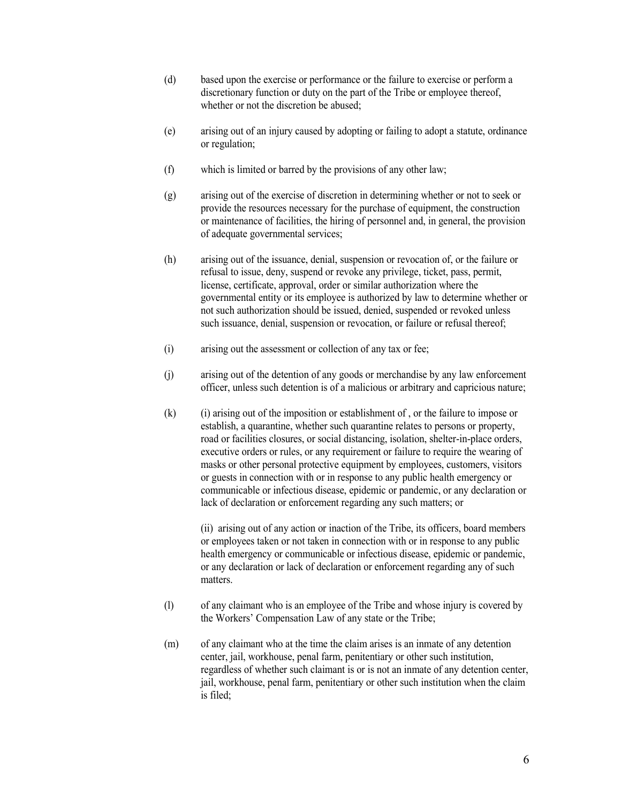- (d) based upon the exercise or performance or the failure to exercise or perform a discretionary function or duty on the part of the Tribe or employee thereof, whether or not the discretion be abused;
- (e) arising out of an injury caused by adopting or failing to adopt a statute, ordinance or regulation;
- (f) which is limited or barred by the provisions of any other law;
- (g) arising out of the exercise of discretion in determining whether or not to seek or provide the resources necessary for the purchase of equipment, the construction or maintenance of facilities, the hiring of personnel and, in general, the provision of adequate governmental services;
- (h) arising out of the issuance, denial, suspension or revocation of, or the failure or refusal to issue, deny, suspend or revoke any privilege, ticket, pass, permit, license, certificate, approval, order or similar authorization where the governmental entity or its employee is authorized by law to determine whether or not such authorization should be issued, denied, suspended or revoked unless such issuance, denial, suspension or revocation, or failure or refusal thereof;
- (i) arising out the assessment or collection of any tax or fee;
- (j) arising out of the detention of any goods or merchandise by any law enforcement officer, unless such detention is of a malicious or arbitrary and capricious nature;
- (k) (i) arising out of the imposition or establishment of , or the failure to impose or establish, a quarantine, whether such quarantine relates to persons or property, road or facilities closures, or social distancing, isolation, shelter-in-place orders, executive orders or rules, or any requirement or failure to require the wearing of masks or other personal protective equipment by employees, customers, visitors or guests in connection with or in response to any public health emergency or communicable or infectious disease, epidemic or pandemic, or any declaration or lack of declaration or enforcement regarding any such matters; or

(ii) arising out of any action or inaction of the Tribe, its officers, board members or employees taken or not taken in connection with or in response to any public health emergency or communicable or infectious disease, epidemic or pandemic, or any declaration or lack of declaration or enforcement regarding any of such matters.

- (l) of any claimant who is an employee of the Tribe and whose injury is covered by the Workers' Compensation Law of any state or the Tribe;
- (m) of any claimant who at the time the claim arises is an inmate of any detention center, jail, workhouse, penal farm, penitentiary or other such institution, regardless of whether such claimant is or is not an inmate of any detention center, jail, workhouse, penal farm, penitentiary or other such institution when the claim is filed;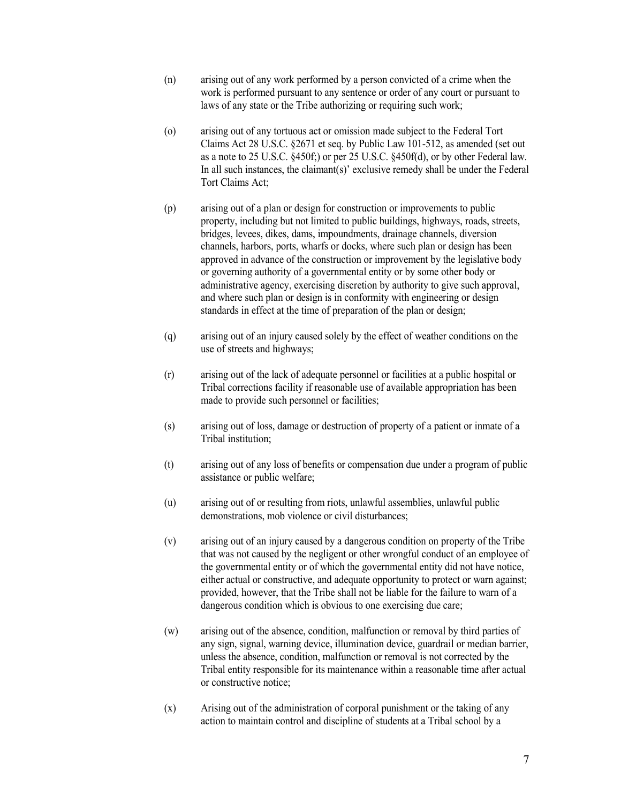- (n) arising out of any work performed by a person convicted of a crime when the work is performed pursuant to any sentence or order of any court or pursuant to laws of any state or the Tribe authorizing or requiring such work;
- (o) arising out of any tortuous act or omission made subject to the Federal Tort Claims Act 28 U.S.C. §2671 et seq. by Public Law 101-512, as amended (set out as a note to 25 U.S.C. §450f;) or per 25 U.S.C. §450f(d), or by other Federal law. In all such instances, the claimant(s)' exclusive remedy shall be under the Federal Tort Claims Act;
- (p) arising out of a plan or design for construction or improvements to public property, including but not limited to public buildings, highways, roads, streets, bridges, levees, dikes, dams, impoundments, drainage channels, diversion channels, harbors, ports, wharfs or docks, where such plan or design has been approved in advance of the construction or improvement by the legislative body or governing authority of a governmental entity or by some other body or administrative agency, exercising discretion by authority to give such approval, and where such plan or design is in conformity with engineering or design standards in effect at the time of preparation of the plan or design;
- (q) arising out of an injury caused solely by the effect of weather conditions on the use of streets and highways;
- (r) arising out of the lack of adequate personnel or facilities at a public hospital or Tribal corrections facility if reasonable use of available appropriation has been made to provide such personnel or facilities;
- (s) arising out of loss, damage or destruction of property of a patient or inmate of a Tribal institution;
- (t) arising out of any loss of benefits or compensation due under a program of public assistance or public welfare;
- (u) arising out of or resulting from riots, unlawful assemblies, unlawful public demonstrations, mob violence or civil disturbances;
- (v) arising out of an injury caused by a dangerous condition on property of the Tribe that was not caused by the negligent or other wrongful conduct of an employee of the governmental entity or of which the governmental entity did not have notice, either actual or constructive, and adequate opportunity to protect or warn against; provided, however, that the Tribe shall not be liable for the failure to warn of a dangerous condition which is obvious to one exercising due care;
- (w) arising out of the absence, condition, malfunction or removal by third parties of any sign, signal, warning device, illumination device, guardrail or median barrier, unless the absence, condition, malfunction or removal is not corrected by the Tribal entity responsible for its maintenance within a reasonable time after actual or constructive notice;
- (x) Arising out of the administration of corporal punishment or the taking of any action to maintain control and discipline of students at a Tribal school by a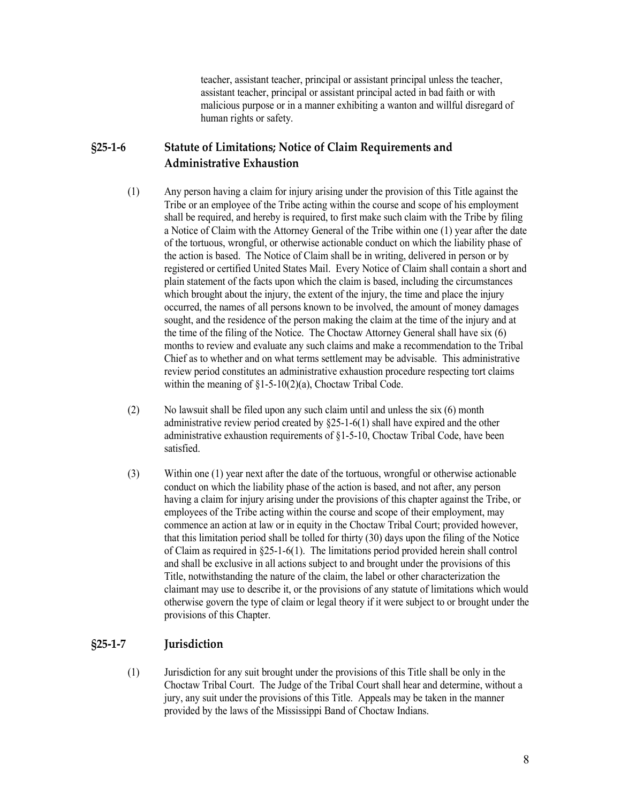teacher, assistant teacher, principal or assistant principal unless the teacher, assistant teacher, principal or assistant principal acted in bad faith or with malicious purpose or in a manner exhibiting a wanton and willful disregard of human rights or safety.

## <span id="page-7-0"></span>**§25-1-6 Statute of Limitations; Notice of Claim Requirements and Administrative Exhaustion**

- (1) Any person having a claim for injury arising under the provision of this Title against the Tribe or an employee of the Tribe acting within the course and scope of his employment shall be required, and hereby is required, to first make such claim with the Tribe by filing a Notice of Claim with the Attorney General of the Tribe within one (1) year after the date of the tortuous, wrongful, or otherwise actionable conduct on which the liability phase of the action is based. The Notice of Claim shall be in writing, delivered in person or by registered or certified United States Mail. Every Notice of Claim shall contain a short and plain statement of the facts upon which the claim is based, including the circumstances which brought about the injury, the extent of the injury, the time and place the injury occurred, the names of all persons known to be involved, the amount of money damages sought, and the residence of the person making the claim at the time of the injury and at the time of the filing of the Notice. The Choctaw Attorney General shall have six (6) months to review and evaluate any such claims and make a recommendation to the Tribal Chief as to whether and on what terms settlement may be advisable. This administrative review period constitutes an administrative exhaustion procedure respecting tort claims within the meaning of  $\S1-5-10(2)(a)$ , Choctaw Tribal Code.
- (2) No lawsuit shall be filed upon any such claim until and unless the six (6) month administrative review period created by §25-1-6(1) shall have expired and the other administrative exhaustion requirements of §1-5-10, Choctaw Tribal Code, have been satisfied.
- (3) Within one (1) year next after the date of the tortuous, wrongful or otherwise actionable conduct on which the liability phase of the action is based, and not after, any person having a claim for injury arising under the provisions of this chapter against the Tribe, or employees of the Tribe acting within the course and scope of their employment, may commence an action at law or in equity in the Choctaw Tribal Court; provided however, that this limitation period shall be tolled for thirty (30) days upon the filing of the Notice of Claim as required in  $\S25$ -1-6(1). The limitations period provided herein shall control and shall be exclusive in all actions subject to and brought under the provisions of this Title, notwithstanding the nature of the claim, the label or other characterization the claimant may use to describe it, or the provisions of any statute of limitations which would otherwise govern the type of claim or legal theory if it were subject to or brought under the provisions of this Chapter.

#### <span id="page-7-1"></span>**§25-1-7 Jurisdiction**

(1) Jurisdiction for any suit brought under the provisions of this Title shall be only in the Choctaw Tribal Court. The Judge of the Tribal Court shall hear and determine, without a jury, any suit under the provisions of this Title. Appeals may be taken in the manner provided by the laws of the Mississippi Band of Choctaw Indians.